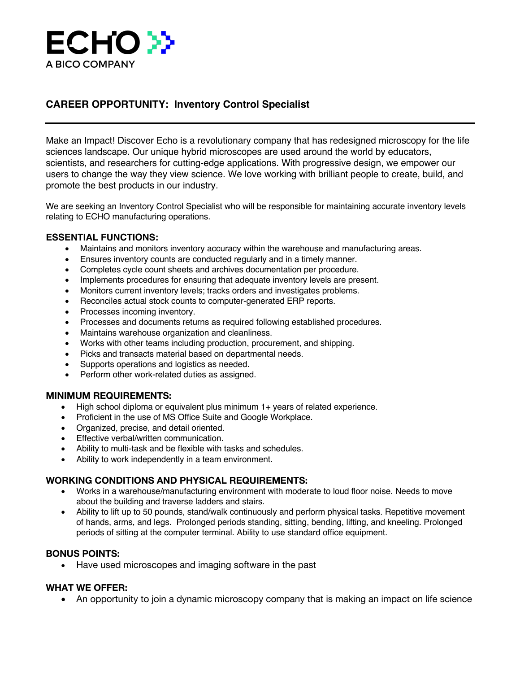

# **CAREER OPPORTUNITY: Inventory Control Specialist**

Make an Impact! Discover Echo is a revolutionary company that has redesigned microscopy for the life sciences landscape. Our unique hybrid microscopes are used around the world by educators, scientists, and researchers for cutting-edge applications. With progressive design, we empower our users to change the way they view science. We love working with brilliant people to create, build, and promote the best products in our industry.

We are seeking an Inventory Control Specialist who will be responsible for maintaining accurate inventory levels relating to ECHO manufacturing operations.

## **ESSENTIAL FUNCTIONS:**

- Maintains and monitors inventory accuracy within the warehouse and manufacturing areas.
- Ensures inventory counts are conducted regularly and in a timely manner.
- Completes cycle count sheets and archives documentation per procedure.
- Implements procedures for ensuring that adequate inventory levels are present.
- Monitors current inventory levels; tracks orders and investigates problems.
- Reconciles actual stock counts to computer-generated ERP reports.
- Processes incoming inventory.
- Processes and documents returns as required following established procedures.
- Maintains warehouse organization and cleanliness.
- Works with other teams including production, procurement, and shipping.
- Picks and transacts material based on departmental needs.
- Supports operations and logistics as needed.
- Perform other work-related duties as assigned.

## **MINIMUM REQUIREMENTS:**

- High school diploma or equivalent plus minimum 1+ years of related experience.
- Proficient in the use of MS Office Suite and Google Workplace.
- Organized, precise, and detail oriented.
- Effective verbal/written communication.
- Ability to multi-task and be flexible with tasks and schedules.
- Ability to work independently in a team environment.

## **WORKING CONDITIONS AND PHYSICAL REQUIREMENTS:**

- Works in a warehouse/manufacturing environment with moderate to loud floor noise. Needs to move about the building and traverse ladders and stairs.
- Ability to lift up to 50 pounds, stand/walk continuously and perform physical tasks. Repetitive movement of hands, arms, and legs. Prolonged periods standing, sitting, bending, lifting, and kneeling. Prolonged periods of sitting at the computer terminal. Ability to use standard office equipment.

## **BONUS POINTS:**

• Have used microscopes and imaging software in the past

## **WHAT WE OFFER:**

• An opportunity to join a dynamic microscopy company that is making an impact on life science